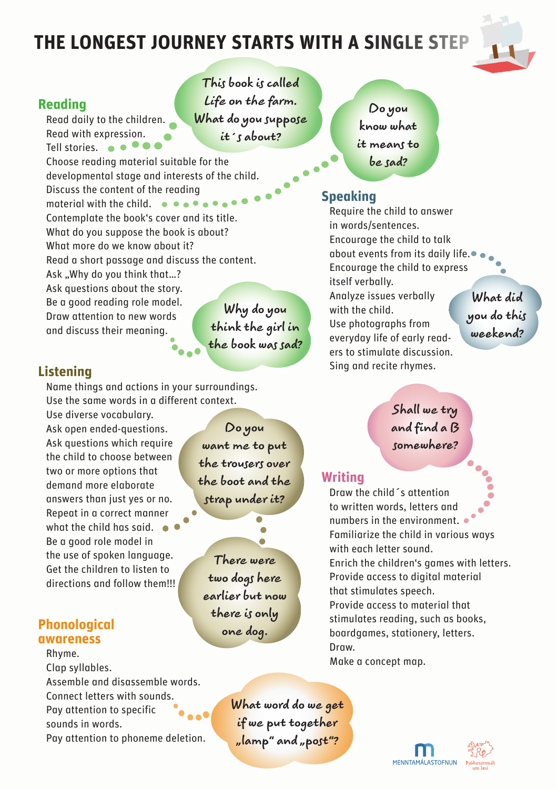# **THE LONGEST JOURNEY STARTS WITH A SINGLE STEP**

**This book is called**  *Life on the farm***.** 

**What do you suppose it´s about?**



### **Reading**

Read daily to the children. Read with expression. Tell stories.  $\bullet \bullet \bullet \bullet$ Choose reading material suitable for the developmental stage and interests of the child. Discuss the content of the reading

material with the child.  $\bullet \bullet \bullet \bullet$ Contemplate the book's cover and its title. What do you suppose the book is about? What more do we know about it? Read a short passage and discuss the content. Ask "Why do you think that...? Ask questions about the story. Be a good reading role model. Draw attention to new words

**Why do you think the girl in the book was sad?**

## **Listening**

Name things and actions in your surroundings. Use the same words in a different context.

Use diverse vocabulary. Ask open ended-questions. Ask questions which require the child to choose between two or more options that demand more elaborate answers than just yes or no. Repeat in a correct manner what the child has said. Be a good role model in the use of spoken language. Get the children to listen to directions and follow them!!!

and discuss their meaning.

### **Phonological awareness**

Rhyme. Clap syllables. Assemble and disassemble words. Connect letters with sounds. Pay attention to specific sounds in words. Pay attention to phoneme deletion.

**Do you**  want me to put **the trousers over the boot and the strap under it?**

**There were two dogs here earlier but now there is only one dog.**

**Do you know what it means to be sad?**

### **Speaking**

Require the child to answer in words/sentences. Encourage the child to talk about events from its daily life. Encourage the child to express itself verbally. Analyze issues verbally with the child. Use photographs from everyday life of early readers to stimulate discussion. Sing and recite rhymes.

**What did you do this weekend?**

**Shall we try and find a B somewhere?**

### **Writing**

Draw the child´s attention to written words, letters and numbers in the environment. Familiarize the child in various ways with each letter sound. Enrich the children's games with letters. Provide access to digital material that stimulates speech. Provide access to material that stimulates reading, such as books, boardgames, stationery, letters. Draw. Make a concept map.

**What word do we get if we put together "lamp" and "post"?**